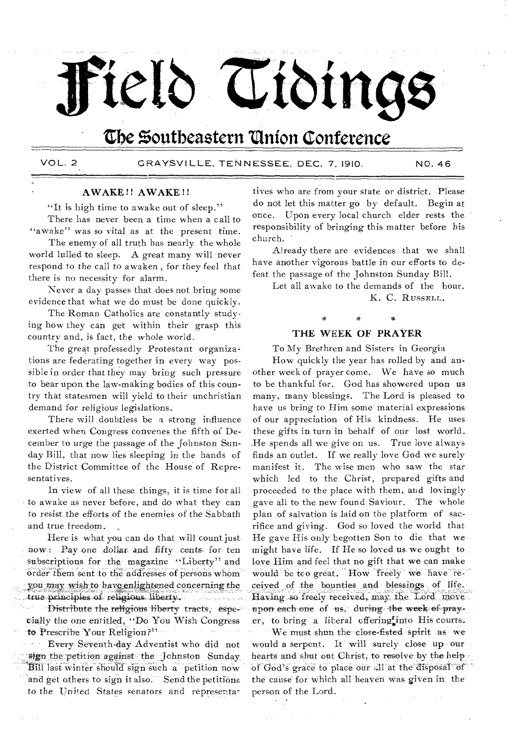# teld Cioings

# The Southeastern Union Conference

VOL. 2

GRAYSVILLE, TENNESSEE, DEC. 7, 1910.

NO. 46

# **AWAKE!! AWAKE!!**

"It is high time to awake out of sleep."

There has never been a time when a call to "awake" was so vital as at the present time.

The enemy of all truth has nearly the whole world lulled to sleep. A great many will never respond to the call to awaken, for they feel that there is no necessity for alarm.

Never a day passes that does not bring some evidence that what we do must be done quickly.

The Roman Catholics are constantly studying how they can get within their grasp this country and, is fact, the whole world.

The great professedly Protestant organizations are federating together in every way possible in order that they may bring such pressure to bear upon the law-making bodies of this country that statesmen will yield to their unchristian demand for religious legislations.

There will doubtless be a strong influence exerted when Congress convenes the fifth of December to urge the passage of the Johnston Sunday Bill, that now lies sleeping in the hands of the District Committee of the House of Representatives.

In view of all these things, it is time for all to awake as never before, and do what they can to resist the efforts of the enemies of the Sabbath and true freedom.

Here is what you can do that will count just now: Pay one dollar and fifty cents for ten subscriptions for the magazine "Liberty" and order them sent to the addresses of persons whom you may wish to bave enlightened concerning the true principles of religious liberty. .<br>This travity in the problem

'Distribute the religious liberty tracts, especially the one entitled, "Do You Wish Congress to Prescribe Your Religion?"

Every Seventh-day Adventist who did not sign the petition against the Johnston Sunday Bill last winter should sign such a petition now and get others to sign it also. Send the petitions to the United States senators and representa-

tives who are from your state or district. Please do not let this matter go by default. Begin at once. Upon every local church elder rests the responsibility of bringing this matter before his church.

Already there are evidences that we shall have another vigorous battle in our efforts to defeat the passage of the Johnston Sunday Bill.

Let all awake to the demands of the hour. K. C. RUSSELL.

# THE WEEK OF PRAYER

To My Brethren and Sisters in Georgia

How quickly the year has rolled by and another week of prayer come. We have so much to be thankful for. God has showered upon us many, many blessings. The Lord is pleased to have us bring to Him some material expressions of our appreciation of His kindness. He uses these gifts in turn in behalf of our lost world. He spends all we give on us. True love always finds an outlet. If we really love God we surely manifest it. The wise men who saw the star which led to the Christ, prepared gifts and proceeded to the place with them, and lovingly gave all to the new found Saviour. The whole plan of salvation is laid on the platform of sacrifice and giving. God so loved the world that He gave His only begotten Son to die that we might have life. If He so loved us we ought to love Him and feel that no gift that we can make would be too great. How freely we have received of the bounties and blessings of life. Having so freely received, may the Lord move upon each one of us, during the week of prayer, to bring a liberal offering into His courts.

We must shun the close-fisted spirit as we would a serpent. It will surely close up our hearts and shut out Christ, to resolve by the help of God's grace to place our all at the disposal of the cause for which all heaven was given in the person of the Lord.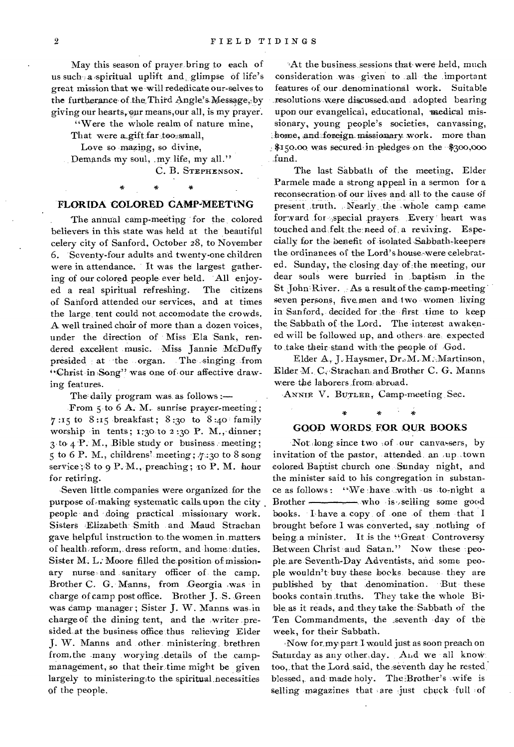May this season of prayer. bring to each of us such ;a spiritual uplift and. glimpse of life's great mission that we will rededicate our-selves to the furtherance of the Third Angle's Message, by giving our hearts, our means, our all, is my prayer.

"Were the whole realm of nature mine,

That were a gift far too small,

Love so mazing, so divine,

Demands my soul, .my. life, my all."

C. B. STEPHENSON.

#### **FLORIDA COLORED CAMP-MEETING**

The annual camp-meeting for the colored believers in this state was held at the beautiful celery city of Sanford, October 28, to November 6. Seventy-four adults and twenty-one children were in attendance. It was the largest gathering of our colored people ever held. All enjoyed a real spiritual refreshing. The citizens of Sanford attended our services, and at times the large, tent could not accomodate the crowds. A well trained chair of more than a dozen voices, under the direction of Miss 'Ela Sank, rendered excellent music. Miss Jannie MeDuffy presided at the organ. The singing from "Christ in Song" was one of our affective drawing features.

The daily program was as follows :-

From 5 to 6 A. M. sunrise prayer-meeting; 7:15 to 8:15 breakfast; 8:30 to 8:40 family worship in tents;  $1;30$  to  $2;30$  P. M., dinner;  $3$  to  $4$  P. M., Bible study or business meeting ; 5 to 6 P. M., childrens' meeting;  $7:30$  to 8 song service;  $8$  to 9 P. M., preaching; 10 P. M. hour for retiring.

.Seven little, companies were organized for the purpose of making systematic calls upon the city people and doing practical missionary work. Sisters 'Elizabeth Smith and Maud Strachan gave helpful instruction to the women in .matters of health reform,. dress reform,, and home; duties. Sister M. L: Moore filled the position of missionary nurse and sanitary officer of the camp. Brother C. G. Manns, from Georgia was in charge of camp post office. Brother **J.** S. Green was camp manager; Sister J. W. Manns was in charge of the dining tent, and the -writer presided at the business office thus relieving Elder J. W. Manns and other ministering brethren from,the .many worying details of the campmanagement, so that their time might be given largely to ministeringto the spiritual necessities of the people.

At the business sessions that were held, much consideration .was . given to all the important features of. our .denominational work. Suitable resolutions were discussed and adopted bearing upon our evangelical, educational, medical missionary, young people's societies, canvassing, home, and foreign missionary work. more than \$150.00 was secured in pledges on the \$300,000 fund.

The last Sabbath of the meeting, Elder Parmele made a strong appeal in a sermon for a reconsecration of our lives and all to the cause of present truth. Nearly the whole camp came forward for special prayers. Every heart was touched and felt the need of, a reviving. Especially for the benefit of isolated Sabbath-keepers the ordinances of the Lord's house-were celebrated. Sunday, the closing day of the meeting, our dear souls were burried in baptism in the St  $\phi$ John River. As a result of the camp-meeting seven persons, five.men and two women living in Sanford, decided for the first time to keep the Sabbath of the Lord. The interest awakened will be followed up, and others- are, expected to take their stand with the people of God.

Elder A, J. Haysmer, Dr.,M. M. Martinson, Elder M. C. Strachan. and Brother C. G. Manns were' the laborers ,from; abroad.

ANNIE V. BUTLER, Camp-meeting Sec.

# $\ast$ GOOD WORDS FOR OUR BOOKS

Not long since two of our canvassers, by invitation of the pastor, attended. an up town colored Baptist church one Sunday night, and the minister said to his congregation in substance as follows: 'We have with us to-night a Brother - who is selling some good books. I have a copy of one of them that I brought before I was converted, say nothing of being a minister. It is the "Great Controversy Between Christ and Satan." Now these people are Seventh-Day Adventists, and some people wouldn't- buy these books because they are published by that denomination. But these books contain truths. They take the whole Bible as it reads, and they take the Sabbath of the Ten Commandments, the ,seventh day of the week, for their Sabbath.

Now for my part I would just as soon preach on Saturday as any other, day. And we all knowtoo, that the Lord said, the seventh day he rested. blessed, and made holy. The Brother's wife is selling magazines that are just chuck full of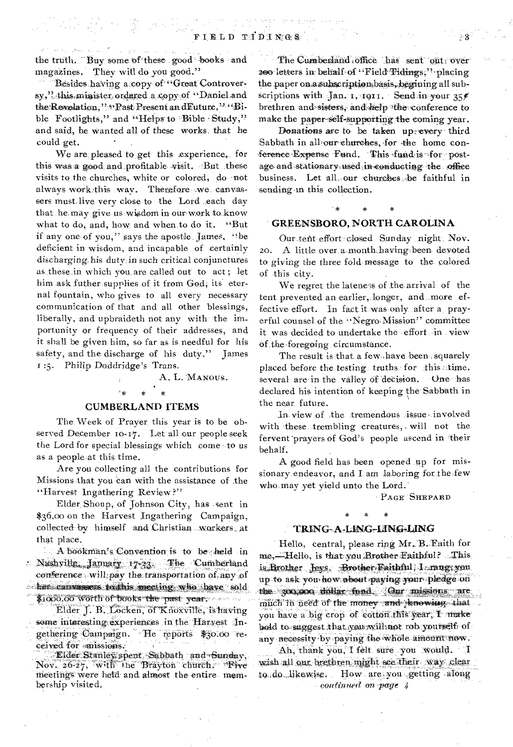the truth. "Buy some of these good books and magazines. They will do you good."

i i Konstantinova i Svetlanda<br>1968 – Johann Holland, film i Svetlandar og Svetland<br>Artistike i Svetlandar og Mitters og Svetlandar

Besides having a:copy of "Great Controversy,". this, minister, ordered a copy of "Daniel and the Revelation," "Rast Present and Future," "Bible Footlights," and "Helps to Bible Study," and said, he wanted all of these works, that he could get.

We are pleased to get this experience, for this was a good and profitable visit. But these visits to the churches, white or colored, do not always work this way. Therefore we canvassers must. live very close to the Lord .each day that he may give us wisdom in our work to know what to do, and, how and when.to do it. "But if any one of you," says the apostle, James, "be deficient in wisdom, and incapable of certainly discharging,his duty in such critical conjunctures asthese in which you. are called out to act ; let him ask futher supplies of it from God, its eternal fountain, who gives to all every necessary communication of that and all other blessings, liberally, and upbraideth not any with the importunity or frequency of their addresses, and it shall be given him, so far as is needful for his safety, and the discharge of his duty." James 1:5. Philip Doddridge's Trans.

# A. L. MANOUS. \*

## CUMBERLAND ITEMS

The Week of Prayer this year is to be observed December io-17. Let all our people seek the Lord for special blessings which come to us as a people at this time.

Are you collecting all the contributions for Missions that you can with the assistance of the "Harvest Ingathering Review?"

Elder, Shoup, of Johnson City, has -sent in \$36.,00 on the Harvest Ingathering Campaign, collected- by himself and Christian workers\_ at that place.

A bookman's Convention is to be-sheld in Nushville, January 17-23. The Cumberland *conference* will pay the transportation of any of her, canvassers to this meeting who have sold \$1000.00 worth of books the past year.

Elder J. B. Locken, of Knoxville, is having some interesting experiences in the Harvest Ingethering Campaign. He reports \$30.60 received for missions:

Elder Stanley spent Sabbath and Sunday. Nov.  $26-27$ , with the Brayton church. • Five meetings were held and almost the entire- membership visited,

The Cumbenland office has sent out over zoo letters in behalf of "Field° Tidings, "placing the paper on a subscription basis, begining all subscriptions with Jan. 1, 1911. Send in your  $35$ brethren and sisters, and help the conference to make the paper-self-supporting the coming year.

Donations are to be taken up-every third Sabbath in all our churches, for the home conference-Expense Fund. This fund-is for postage and stationary used in conducting the office business. Let all, our churches the faithful in sending in this collection.

#### **GREENSBORO, NORTH CAROLINA**

Our tent effort closed Sunday night. Nov. 20. A little over a month having been devoted to giving the three fold message to the colored of this city.

We regret the lateness of the arrival of the tent prevented an earlier, longer, and more effective effort. In fact,it was only after a prayerful counsel of the "Negro Mission" committee it was decided to undertake the effort •in . view of.the:foregoing circumstance.

The result is that, a few, have been squarely placed before the testing truths for this stime. several are in the valley of decision. One has declared his intention of keeping the Sabbath in the near future.

In view of the tremendous issue involved with these trembling creatures, will not the fervent prayers of God's people ascend in their behalf.

A good field has been opened .up for missionary endeavor, and I am laboring for the few who may yet yield unto the Lord.'

PAGE SHEPARD

#### TRING-A-LING-LING-LING

\* \* \*

Hello, central, please ring Mr. B. Eaith for me, Hello, is that you Brother Faithful? This. is Brother Jeys. Brother Faithful, I mangayou. up to ask you how about paying your pledge on the 300,000 doilar fond. Our missions are much in need of the money and knowing that you have a big crop of cotton this year, I make bold to suggest that you will not rob yourself ofany necessity by paying the whole amount now.

Ah, thank you, I felt sure you would. wish all our brethren might see their way clear. to do likewise. How are you getting along *confinzted* on *-page* 4